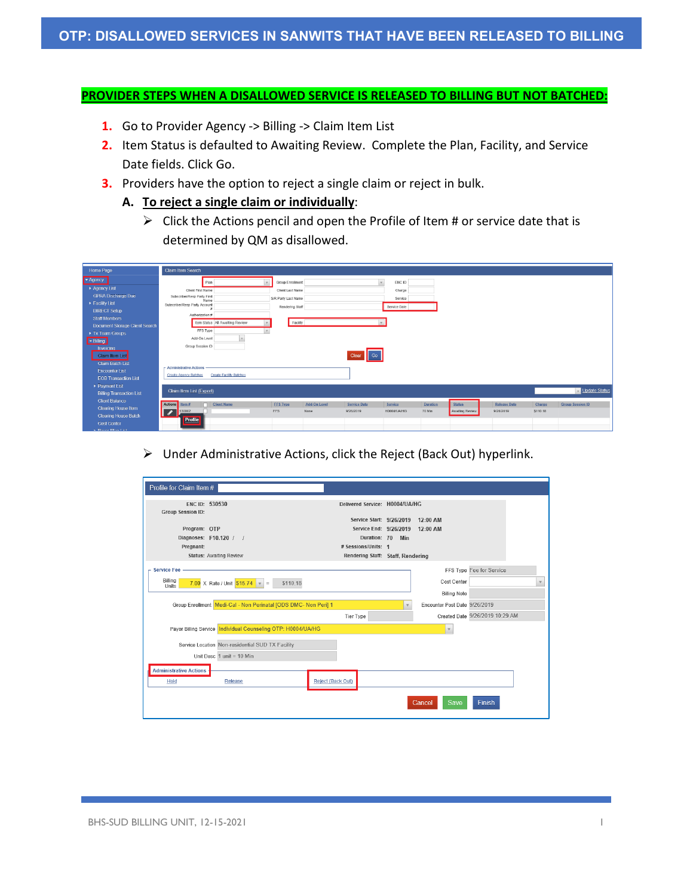### **PROVIDER STEPS WHEN A DISALLOWED SERVICE IS RELEASED TO BILLING BUT NOT BATCHED:**

- **1.** Go to Provider Agency -> Billing -> Claim Item List
- **2.** Item Status is defaulted to Awaiting Review. Complete the Plan, Facility, and Service Date fields. Click Go.
- **3.** Providers have the option to reject a single claim or reject in bulk.
	- **A. To reject a single claim or individually**:
		- $\triangleright$  Click the Actions pencil and open the Profile of Item # or service date that is determined by QM as disallowed.

| Home Page                       | Claim Item Search                   |                                 |                     |              |                     |              |          |                 |                     |          |                         |
|---------------------------------|-------------------------------------|---------------------------------|---------------------|--------------|---------------------|--------------|----------|-----------------|---------------------|----------|-------------------------|
| Agency                          | Plan                                |                                 | Group Enrollment    |              |                     | ENC ID       |          |                 |                     |          |                         |
| Agency List                     | Client First Name                   |                                 | Client Last Name    |              |                     | Charge       |          |                 |                     |          |                         |
| <b>GPRA Discharge Due</b>       | Subscriber/Resp Party First<br>Name |                                 | S/R Party Last Name |              |                     | Service      |          |                 |                     |          |                         |
| Facility List                   | Subscriber/Resp Party Account       |                                 | Rendering Staff     |              |                     | Service Date |          |                 |                     |          |                         |
| <b>DIRECT Setup</b>             | Authorization #                     |                                 |                     |              |                     |              |          |                 |                     |          |                         |
| <b>Staff Members</b>            |                                     | Item Status All Awaiting Review | Facility            |              |                     |              |          |                 |                     |          |                         |
| Document Storage Client Search  | FFS Type                            |                                 |                     |              |                     |              |          |                 |                     |          |                         |
| Tx Team Groups                  |                                     |                                 |                     |              |                     |              |          |                 |                     |          |                         |
| - Billing                       | Add-On Level                        |                                 |                     |              |                     |              |          |                 |                     |          |                         |
| Invoicing                       | Group Session ID                    |                                 |                     |              |                     |              |          |                 |                     |          |                         |
| Claim Item List                 |                                     |                                 |                     |              | Clear Go            |              |          |                 |                     |          |                         |
| <b>Claim Batch List</b>         | <b>Administrative Actions</b>       |                                 |                     |              |                     |              |          |                 |                     |          |                         |
| <b>Encounter List</b>           | <b>Create Agency Batches</b>        | <b>Create Facility Batches</b>  |                     |              |                     |              |          |                 |                     |          |                         |
| <b>EOB Transaction List</b>     |                                     |                                 |                     |              |                     |              |          |                 |                     |          |                         |
| ▶ Payment List                  | Claim Item List (Export)            |                                 |                     |              |                     |              |          |                 |                     |          | Update Status           |
| <b>Billing Transaction List</b> |                                     |                                 |                     |              |                     |              |          |                 |                     |          |                         |
| <b>Client Balance</b>           | Actions Item #                      | Client Name                     | <b>FFS Type</b>     | Add On Level | <b>Service Date</b> | Service      | Duration | <b>Status</b>   | <b>Release Date</b> | Charge   | <b>Group Session ID</b> |
| <b>Clearing House Item</b>      | $\overline{\phantom{a}}$<br>530002  |                                 | <b>FFS</b>          | None         | 9/26/2019           | H0004/UA/HG  | 70 Min   | Awaiting Review | 9/26/2019           | \$110.18 |                         |
| Cleaning House Batch            | Profile                             |                                 |                     |              |                     |              |          |                 |                     |          |                         |
| <b>Cost Center</b>              |                                     |                                 |                     |              |                     |              |          |                 |                     |          |                         |
| <b>K. Doune Dion Liet</b>       |                                     |                                 |                     |              |                     |              |          |                 |                     |          |                         |

 $\triangleright$  Under Administrative Actions, click the Reject (Back Out) hyperlink.

| Profile for Claim Item #                                        |                                                                     |                  |                               |                                 |
|-----------------------------------------------------------------|---------------------------------------------------------------------|------------------|-------------------------------|---------------------------------|
| ENC ID: 530530<br><b>Group Session ID:</b>                      | Delivered Service: H0004/UA/HG<br>Service Start: 9/26/2019 12:00 AM |                  |                               |                                 |
| Program: OTP                                                    | Service End: 9/26/2019 12:00 AM                                     |                  |                               |                                 |
| Diagnoses: F10.120 / /                                          |                                                                     | Duration: 70 Min |                               |                                 |
| Pregnant:                                                       | # Sessions/Units: 1                                                 |                  |                               |                                 |
| <b>Status: Awaiting Review</b>                                  | Rendering Staff: Staff, Rendering                                   |                  |                               |                                 |
| <b>Service Fee</b><br>Billing                                   |                                                                     |                  |                               | FFS Type Fee for Service        |
| 7.00 X Rate / Unit $$15.74$ =<br>\$110.18<br>Units              |                                                                     |                  | Cost Center                   |                                 |
|                                                                 |                                                                     |                  | <b>Billing Note</b>           |                                 |
| Group Enrollment Medi-Cal - Non Perinatal [ODS DMC- Non Peri] 1 |                                                                     |                  | Encounter Post Date 9/26/2019 |                                 |
|                                                                 | <b>Tier Type</b>                                                    |                  |                               | Created Date 9/26/2019 10:29 AM |
| Payor Billing Service Individual Counseling OTP: H0004/UA/HG    |                                                                     |                  | $\mathbf{v}$                  |                                 |
| Service Location Non-residential SUD TX Facility                |                                                                     |                  |                               |                                 |
| Unit Desc $1$ unit = 10 Min                                     |                                                                     |                  |                               |                                 |
| <b>Administrative Actions</b>                                   |                                                                     |                  |                               |                                 |
| Hold<br>Release                                                 | <b>Reject (Back Out)</b>                                            |                  |                               |                                 |
|                                                                 |                                                                     |                  | Cancel<br>Save                | Finish                          |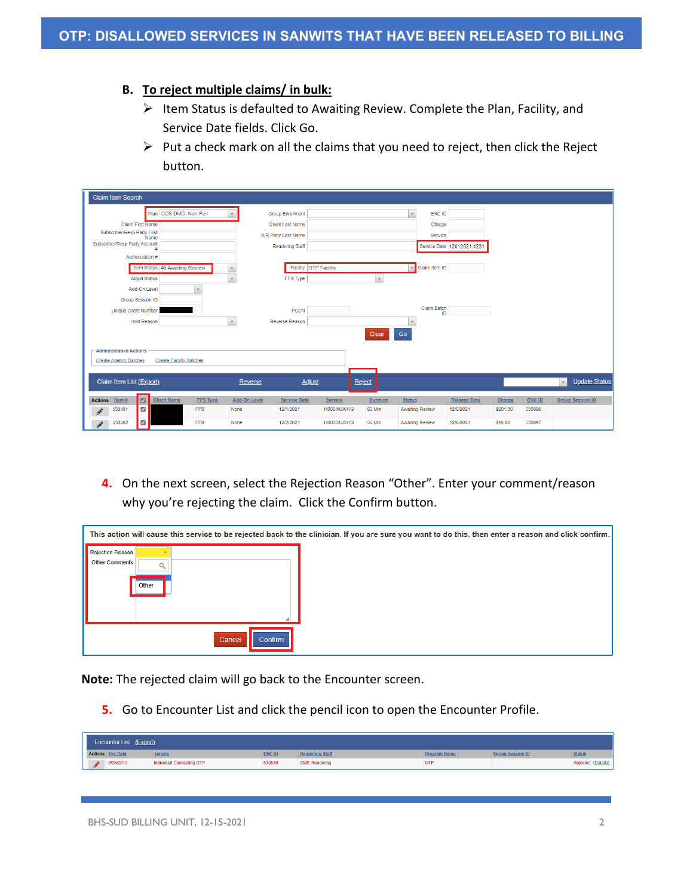### **B. To reject multiple claims/ in bulk:**

- $\triangleright$  Item Status is defaulted to Awaiting Review. Complete the Plan, Facility, and Service Date fields. Click Go.
- $\triangleright$  Put a check mark on all the claims that you need to reject, then click the Reject button.

|                 | Claim Item Search             |                     |                                 |                 |                     |                         |                    |                 |                                          |                            |          |               |                               |
|-----------------|-------------------------------|---------------------|---------------------------------|-----------------|---------------------|-------------------------|--------------------|-----------------|------------------------------------------|----------------------------|----------|---------------|-------------------------------|
|                 |                               |                     |                                 |                 |                     |                         |                    |                 |                                          |                            |          |               |                               |
|                 |                               |                     | ODS DMC- Non Peri<br>Plan       |                 |                     | <b>Group Enrollment</b> |                    |                 | ENC ID<br>$\mathbf v$                    |                            |          |               |                               |
|                 | <b>Client First Name</b>      |                     |                                 |                 |                     | <b>Client Last Name</b> |                    |                 | Charge                                   |                            |          |               |                               |
|                 | Subscriber/Resp Party First   |                     | Name                            |                 |                     | S/R Party Last Name     |                    |                 | Service                                  |                            |          |               |                               |
|                 | Subscriber/Resp Party Account |                     |                                 |                 |                     | <b>Rendering Staff</b>  |                    |                 |                                          | Service Date 12012021:1231 |          |               |                               |
|                 |                               | Authorization #     |                                 |                 |                     |                         |                    |                 |                                          |                            |          |               |                               |
|                 |                               |                     | Item Status All Awaiting Review |                 |                     | Facility OTP Facility   |                    |                 | Claim Item ID<br>$\overline{\mathbf{v}}$ |                            |          |               |                               |
|                 |                               | <b>Adjud Status</b> |                                 |                 | $\mathbf{v}$        | FFS Type                |                    |                 |                                          |                            |          |               |                               |
|                 |                               | Add-On Level        |                                 | $\mathbf{v}$    |                     |                         |                    |                 |                                          |                            |          |               |                               |
|                 | Group Session ID              |                     |                                 |                 |                     |                         |                    |                 |                                          |                            |          |               |                               |
|                 | Unique Client Number          |                     |                                 |                 |                     | <b>PCCN</b>             |                    |                 | Claim Batch<br>ID                        |                            |          |               |                               |
|                 |                               | <b>Hold Reason</b>  |                                 |                 | $\mathbf v$         | <b>Reverse Reason</b>   |                    |                 | $\mathbf{v}$                             |                            |          |               |                               |
|                 |                               |                     |                                 |                 |                     |                         |                    | Clear           | Go                                       |                            |          |               |                               |
|                 |                               |                     |                                 |                 |                     |                         |                    |                 |                                          |                            |          |               |                               |
|                 | <b>Administrative Actions</b> |                     |                                 |                 |                     |                         |                    |                 |                                          |                            |          |               |                               |
|                 | <b>Create Agency Batches</b>  |                     | <b>Create Facility Batches</b>  |                 |                     |                         |                    |                 |                                          |                            |          |               |                               |
|                 |                               |                     |                                 |                 |                     |                         |                    |                 |                                          |                            |          |               |                               |
|                 | Claim Item List (Export)      |                     |                                 |                 | Reverse             | <b>Adjust</b>           | Reject             |                 |                                          |                            |          |               | Update Status<br>$\mathbf{v}$ |
| <b>Actions</b>  | Item $#$                      | $\blacksquare$      | <b>Client Name</b>              | <b>FFS Type</b> | <b>Add-On Level</b> | <b>Service Date</b>     | Service            | <b>Duration</b> | <b>Status</b>                            | <b>Release Date</b>        | Charge   | <b>ENC ID</b> | <b>Group Session ID</b>       |
| <b>Contract</b> | 533481                        | $\overline{\omega}$ |                                 | <b>FFS</b>      | None                | 12/1/2021               | H0004/UA/HG        | 60 Min          | <b>Awaiting Review</b>                   | 12/6/2021                  | \$201.30 | 533896        |                               |
| <b>CENT</b>     | 533482                        | ø                   |                                 | <b>FFS</b>      | None                | 12/2/2021               | <b>H0005/UA/HG</b> | 50 Min          | <b>Awaiting Review</b>                   | 12/6/2021                  | \$16.80  | 533897        |                               |

**4.** On the next screen, select the Rejection Reason "Other". Enter your comment/reason why you're rejecting the claim. Click the Confirm button.

|                                    |       |        |         | This action will cause this service to be rejected back to the clinician. If you are sure you want to do this, then enter a reason and click confirm. |
|------------------------------------|-------|--------|---------|-------------------------------------------------------------------------------------------------------------------------------------------------------|
| Rejection Reason<br>Other Comments |       |        |         |                                                                                                                                                       |
|                                    |       |        |         |                                                                                                                                                       |
|                                    | Other |        |         |                                                                                                                                                       |
|                                    |       |        |         |                                                                                                                                                       |
|                                    |       |        |         |                                                                                                                                                       |
|                                    |       | Cancel | Confirm |                                                                                                                                                       |

**Note:** The rejected claim will go back to the Encounter screen.

**5.** Go to Encounter List and click the pencil icon to open the Encounter Profile.

| Encounter List (Export) |                         |                           |               |                        |              |                         |                    |  |  |  |  |
|-------------------------|-------------------------|---------------------------|---------------|------------------------|--------------|-------------------------|--------------------|--|--|--|--|
|                         | <b>Actions</b> Svc Date | <b>Service</b>            | <b>ENC ID</b> | <b>Rendering Staff</b> | Program Name | <b>Group Session ID</b> | <b>Status</b>      |  |  |  |  |
| ø                       | 9/26/2019               | Individual Counseling OTP | 530530        | Staff, Rendering       | OTF          |                         | Rejected (Details) |  |  |  |  |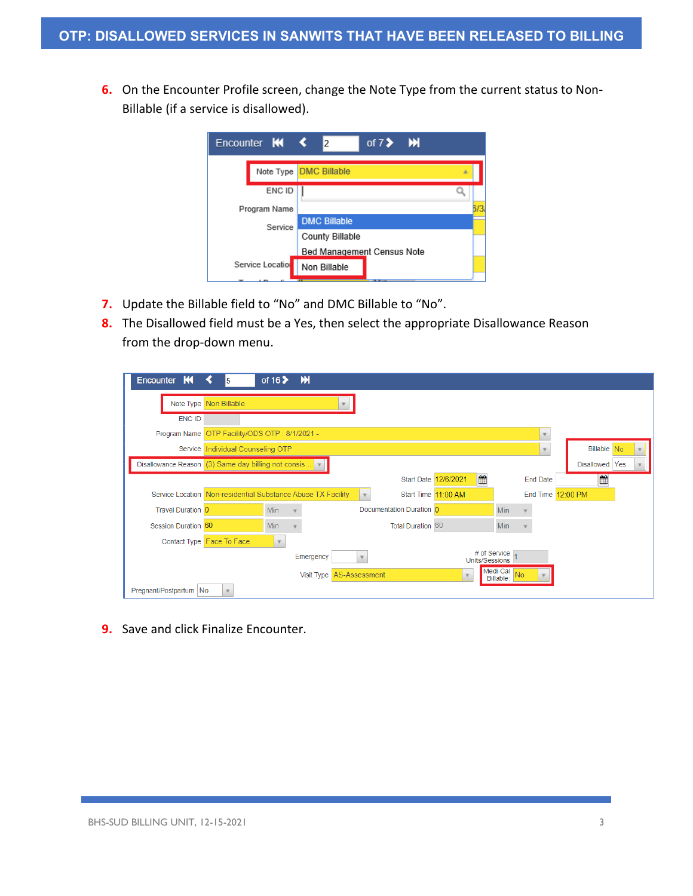**6.** On the Encounter Profile screen, change the Note Type from the current status to Non-Billable (if a service is disallowed).

| Encounter <b>KI</b>             | of 7> M<br>2                       |
|---------------------------------|------------------------------------|
|                                 | Note Type <b>DMC Billable</b><br>A |
| ENC ID                          |                                    |
| Program Name                    | 13                                 |
| Service                         | <b>DMC Billable</b>                |
|                                 | County Billable                    |
|                                 | Bed Management Census Note         |
| Service Locatio<br>$\mathbf{z}$ | Non Billable<br><b>Building</b>    |

- **7.** Update the Billable field to "No" and DMC Billable to "No".
- **8.** The Disallowed field must be a Yes, then select the appropriate Disallowance Reason from the drop-down menu.

| Encounter K            | ≺<br>15                                                      | of $162$   | $\mathbf{M}$               |              |                          |                      |                                |    |                 |                   |     |  |
|------------------------|--------------------------------------------------------------|------------|----------------------------|--------------|--------------------------|----------------------|--------------------------------|----|-----------------|-------------------|-----|--|
|                        | Note Type Non Billable                                       |            |                            |              |                          |                      |                                |    |                 |                   |     |  |
| <b>ENC ID</b>          |                                                              |            |                            |              |                          |                      |                                |    |                 |                   |     |  |
|                        | Program Name OTP Facility/ODS OTP: 8/1/2021 -                |            |                            |              |                          |                      |                                |    |                 |                   |     |  |
|                        | Service Individual Counseling OTP                            |            |                            |              |                          |                      |                                |    | $\mathbf{v}$    | Billable No       |     |  |
|                        | Disallowance Reason (3) Same day billing not consis          |            |                            |              |                          |                      |                                |    |                 | <b>Disallowed</b> | Yes |  |
|                        |                                                              |            |                            |              |                          | Start Date 12/6/2021 | 曲                              |    | <b>End Date</b> | 饂                 |     |  |
|                        | Service Location Non-residential Substance Abuse TX Facility |            |                            | $\mathbf{v}$ |                          | Start Time 11:00 AM  |                                |    |                 | End Time 12:00 PM |     |  |
| Travel Duration 0      |                                                              | <b>Min</b> |                            |              | Documentation Duration 0 |                      | <b>Min</b>                     |    |                 |                   |     |  |
| Session Duration 60    |                                                              | Min        |                            |              | Total Duration 60        |                      | <b>Min</b>                     |    |                 |                   |     |  |
|                        | Contact Type Face To Face                                    |            |                            |              |                          |                      |                                |    |                 |                   |     |  |
|                        |                                                              |            | Emergency                  |              |                          |                      | # of Service<br>Units/Sessions |    |                 |                   |     |  |
|                        |                                                              |            | Visit Type   AS-Assessment |              |                          |                      | Medi-Cal<br>Billable:          | No |                 |                   |     |  |
| Pregnant/Postpartum No | $\mathbf{v}$                                                 |            |                            |              |                          |                      |                                |    |                 |                   |     |  |

**9.** Save and click Finalize Encounter.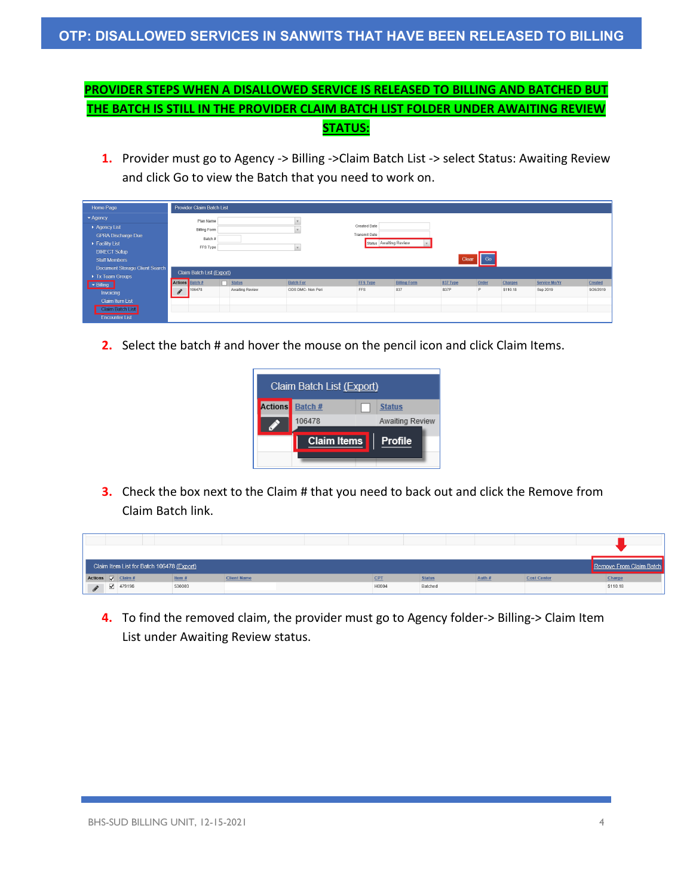# **PROVIDER STEPS WHEN A DISALLOWED SERVICE IS RELEASED TO BILLING AND BATCHED BUT THE BATCH IS STILL IN THE PROVIDER CLAIM BATCH LIST FOLDER UNDER AWAITING REVIEW STATUS:**

**1.** Provider must go to Agency -> Billing ->Claim Batch List -> select Status: Awaiting Review and click Go to view the Batch that you need to work on.

| Home Page                      |                            | Provider Claim Batch List |                 |                   |                      |                        |          |       |          |               |           |
|--------------------------------|----------------------------|---------------------------|-----------------|-------------------|----------------------|------------------------|----------|-------|----------|---------------|-----------|
| $\blacktriangleright$ Agency   |                            | Plan Name                 |                 |                   |                      |                        |          |       |          |               |           |
| Aqency List                    |                            | <b>Billing Form</b>       |                 |                   | Created Date         |                        |          |       |          |               |           |
| <b>GPRA Discharge Due</b>      |                            | Batch #                   |                 |                   | <b>Transmit Date</b> |                        |          |       |          |               |           |
| Facility List                  |                            | FFS Type                  |                 |                   |                      | Status Awaiting Review |          |       |          |               |           |
| <b>DIRECT Setup</b>            |                            |                           |                 |                   |                      |                        |          |       |          |               |           |
| <b>Staff Members</b>           |                            |                           |                 |                   |                      |                        | Clear    | Go    |          |               |           |
| Document Storage Client Search |                            | Claim Batch List (Export) |                 |                   |                      |                        |          |       |          |               |           |
| Tx Team Groups                 | Actions Batch <sup>#</sup> |                           | $\Box$ Status   | <b>Batch For</b>  | <b>FFS Type</b>      | <b>Billing Form</b>    | 837 Type | Order | Charges  | Service Mo/Yr | Created   |
| $\blacktriangleright$ Billing  |                            | 106478                    | Awaiting Review | ODS DMC- Non Peri | FFS                  | 837                    | 837P     | P     | \$110.18 | Sep 2019      | 9/26/2019 |
| Invoicing                      | $\mathscr{I}$              |                           |                 |                   |                      |                        |          |       |          |               |           |
| <b>Claim Item List</b>         |                            |                           |                 |                   |                      |                        |          |       |          |               |           |
| <b>Claim Batch List</b>        |                            |                           |                 |                   |                      |                        |          |       |          |               |           |
| <b>Encounter List</b>          |                            |                           |                 |                   |                      |                        |          |       |          |               |           |

**2.** Select the batch # and hover the mouse on the pencil icon and click Claim Items.

| Claim Batch List (Export) |                                      |  |                        |  |  |  |  |  |  |  |
|---------------------------|--------------------------------------|--|------------------------|--|--|--|--|--|--|--|
| <b>Actions</b>            | Batch #                              |  | <b>Status</b>          |  |  |  |  |  |  |  |
|                           | 106478                               |  | <b>Awaiting Review</b> |  |  |  |  |  |  |  |
|                           | <b>Claim Items</b><br><b>Profile</b> |  |                        |  |  |  |  |  |  |  |
|                           |                                      |  |                        |  |  |  |  |  |  |  |

**3.** Check the box next to the Claim # that you need to back out and click the Remove from Claim Batch link.

|   | Claim Item List for Batch 106478 (Export)  |        |                    |  |       |               |        |                    | Remove From Claim Batch |
|---|--------------------------------------------|--------|--------------------|--|-------|---------------|--------|--------------------|-------------------------|
|   | Actions $\sqrt{\frac{ \text{Claim } # } }$ | Item # | <b>Client Name</b> |  | CPT   | <b>Status</b> | Auth # | <b>Cost Center</b> | Charge                  |
| P | $\sqrt{479196}$                            | 530003 |                    |  | H0004 | Batched       |        |                    | \$110.18                |

**4.** To find the removed claim, the provider must go to Agency folder-> Billing-> Claim Item List under Awaiting Review status.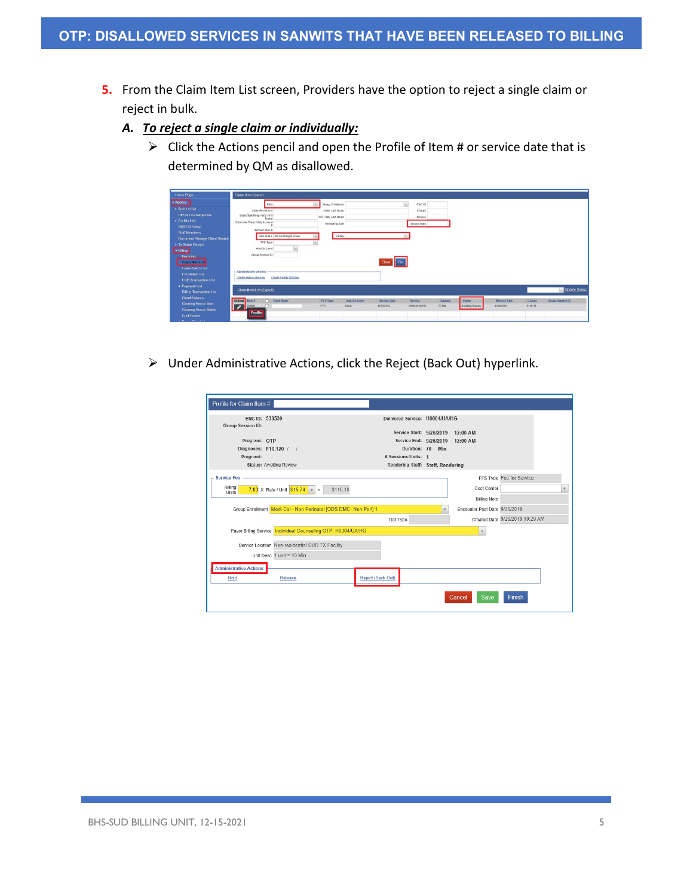- **5.** From the Claim Item List screen, Providers have the option to reject a single claim or reject in bulk.
	- *A. To reject a single claim or individually:*
		- $\triangleright$  Click the Actions pencil and open the Profile of Item # or service date that is determined by QM as disallowed.

| Home Page                      | Claim Item Search                     |                                |                        |              |                     |                                      |                 |                 |                     |               |                         |
|--------------------------------|---------------------------------------|--------------------------------|------------------------|--------------|---------------------|--------------------------------------|-----------------|-----------------|---------------------|---------------|-------------------------|
| - Agency                       | Pian                                  |                                | <b>Group Enrolment</b> |              |                     | $\vert \mathbf{r}_i \vert$<br>ENC ID |                 |                 |                     |               |                         |
| » Agency List                  | Client First Name                     |                                | Client Last Name       |              |                     | Charge                               |                 |                 |                     |               |                         |
| GPRA Dischargo Duo             | Subscriber/Resp Party First           |                                | S/R Party Last Name    |              |                     | Service                              |                 |                 |                     |               |                         |
| > Facility List                | Name<br>Subscriber/Resp Party Account |                                | Rendering Staff        |              |                     | Service Date                         |                 |                 |                     |               |                         |
| <b>DIRECT Setup</b>            | Authorization #                       |                                |                        |              |                     |                                      |                 |                 |                     |               |                         |
| <b>Staff Members</b>           |                                       |                                |                        |              |                     |                                      |                 |                 |                     |               |                         |
| Document Storage Client Search | Item Status All Awaiting Review       |                                | Facility               |              |                     |                                      |                 |                 |                     |               |                         |
| Tx Team Croups                 | FFS Type                              |                                |                        |              |                     |                                      |                 |                 |                     |               |                         |
| <b>E-Biling</b>                | Add-On Level                          |                                |                        |              |                     |                                      |                 |                 |                     |               |                         |
| Invoicing                      | Group Session ID                      |                                |                        |              |                     |                                      |                 |                 |                     |               |                         |
| Claim Hem List                 |                                       |                                |                        |              | Clear Go            |                                      |                 |                 |                     |               |                         |
| <b>Claim Batch List</b>        | <b>Administrativo Actions</b>         |                                |                        |              |                     |                                      |                 |                 |                     |               |                         |
| Encountor List                 | Create Agency Batches                 | <b>Create Facility Batches</b> |                        |              |                     |                                      |                 |                 |                     |               |                         |
| <b>EOB Transaction List</b>    |                                       |                                |                        |              |                     |                                      |                 |                 |                     |               |                         |
| Payment List                   |                                       |                                |                        |              |                     |                                      |                 |                 |                     |               | Update Status           |
| <b>Biling Transaction List</b> | Claim Item List (Export)              |                                |                        |              |                     |                                      |                 |                 |                     |               |                         |
| <b>Client Balance</b>          | Actions Hom #<br><b>Clent Name</b>    |                                | <b>EES Type</b>        | Add On Level | <b>Service Date</b> | Service                              | <b>Duration</b> | <b>Status</b>   | <b>Release Date</b> | <b>Chargo</b> | <b>Group Session ID</b> |
| Clearing House Item            |                                       |                                | FFS                    | None         | 9/26/2019           | HOOGS/LIA/HO                         | <b>70 Min</b>   | Awaiting Review | 9/26/2019           | 5110.18       |                         |
| Clearing House Batch           | Profile                               |                                |                        |              |                     |                                      |                 |                 |                     |               |                         |
| <b>Cost Center</b>             |                                       |                                |                        |              |                     |                                      |                 |                 |                     |               |                         |

Under Administrative Actions, click the Reject (Back Out) hyperlink.

| ENC ID: 530530                |                                                                 |                          | Delivered Service: H0004/UA/HG    |                               |                                 |             |
|-------------------------------|-----------------------------------------------------------------|--------------------------|-----------------------------------|-------------------------------|---------------------------------|-------------|
| Group Session ID:             |                                                                 |                          |                                   |                               |                                 |             |
|                               |                                                                 |                          | Service Start: 9/26/2019 12:00 AM |                               |                                 |             |
| Program: OTP                  |                                                                 |                          | Service End: 9/26/2019 12:00 AM   |                               |                                 |             |
|                               | Diagnoses: F10.120 / /                                          |                          | Duration: 70 Min                  |                               |                                 |             |
| Pregnant:                     |                                                                 |                          | # Sessions/Units: 1               |                               |                                 |             |
|                               | <b>Status: Awaiting Review</b>                                  |                          | Rendering Staff: Staff, Rendering |                               |                                 |             |
| <b>Service Fee</b>            |                                                                 |                          |                                   |                               | FFS Type Fee for Service        |             |
| Billing<br>Units              | \$110.18<br>7.00 X Rate / Unit $515.74$ =                       |                          |                                   | Cost Center                   |                                 | $\mathbf v$ |
|                               |                                                                 |                          |                                   | <b>Billing Note</b>           |                                 |             |
|                               | Group Enrollment Medi-Cal - Non Perinatal JODS DMC- Non Peril 1 |                          |                                   | Encounter Post Date 9/26/2019 |                                 |             |
|                               |                                                                 |                          | <b>Tier Type</b>                  |                               | Created Date 9/26/2019 10:29 AM |             |
|                               | Payor Billing Service   Individual Counseling OTP: H0004/UA/HG  |                          |                                   |                               |                                 |             |
|                               | Service Location Non-residential SUD TX Facility                |                          |                                   |                               |                                 |             |
|                               | Unit Desc 1 unit = 10 Min                                       |                          |                                   |                               |                                 |             |
| <b>Administrative Actions</b> |                                                                 |                          |                                   |                               |                                 |             |
| Hold                          | Release                                                         | <b>Reject (Back Out)</b> |                                   |                               |                                 |             |
|                               |                                                                 |                          |                                   | Save<br>Cancel                | Finish                          |             |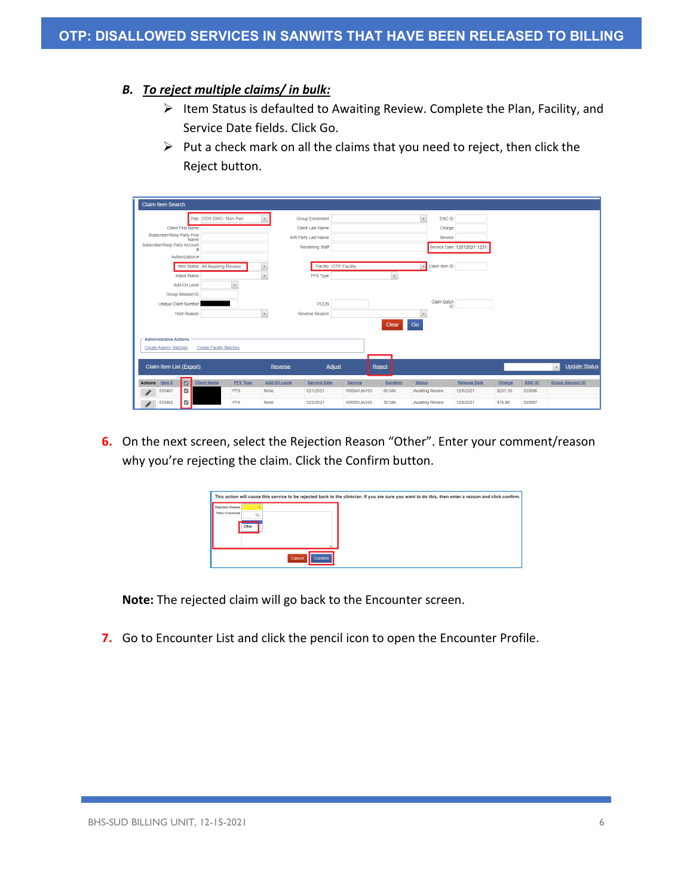### *B. To reject multiple claims/ in bulk:*

- $\triangleright$  Item Status is defaulted to Awaiting Review. Complete the Plan, Facility, and Service Date fields. Click Go.
- $\triangleright$  Put a check mark on all the claims that you need to reject, then click the Reject button.

| <b>Claim Item Search</b>                                                                                                                                   |                                                                           |                             |                                                                                                                                   |             |                 |                                                                              |                            |          |               |                                      |
|------------------------------------------------------------------------------------------------------------------------------------------------------------|---------------------------------------------------------------------------|-----------------------------|-----------------------------------------------------------------------------------------------------------------------------------|-------------|-----------------|------------------------------------------------------------------------------|----------------------------|----------|---------------|--------------------------------------|
| <b>Client First Name</b><br>Subscriber/Resp Party First<br>Name<br>Subscriber/Resp Party Account<br>Authorization #<br><b>Adjud Status</b><br>Add-On Level | Plan ODS DMC- Non Peri<br>Item Status All Awaiting Review<br>$\mathbf{v}$ | $\mathbf v$<br>$\mathbf{v}$ | <b>Group Enrollment</b><br><b>Client Last Name</b><br>S/R Party Last Name<br>Rendering Staff<br>Facility OTP Facility<br>FFS Type |             | $\mathbf{v}$    | ENC ID<br>$\mathbf{v}$<br>Charge<br>Service<br>Claim Item ID<br>$\mathbf{v}$ | Service Date 12012021:1231 |          |               |                                      |
| Group Session ID<br><b>Unique Client Number</b><br><b>Hold Reason</b>                                                                                      |                                                                           | $\mathbf v$                 | <b>PCCN</b><br>Reverse Reason                                                                                                     |             | Clear           | <b>Claim Batch</b><br>ID<br>$\overline{\phantom{a}}$<br>Go                   |                            |          |               |                                      |
| <b>Administrative Actions</b>                                                                                                                              |                                                                           |                             |                                                                                                                                   |             |                 |                                                                              |                            |          |               |                                      |
| <b>Create Agency Batches</b>                                                                                                                               | <b>Create Facility Batches</b>                                            |                             |                                                                                                                                   |             |                 |                                                                              |                            |          |               |                                      |
| Claim Item List (Export)                                                                                                                                   |                                                                           | Reverse                     | Adjust                                                                                                                            | Reject      |                 |                                                                              |                            |          |               | <b>Update Status</b><br>$\mathbf{v}$ |
| $\blacksquare$<br><b>Actions</b><br>Item $#$<br><b>Client Name</b>                                                                                         | <b>FFS Type</b>                                                           | <b>Add-On Level</b>         | <b>Service Date</b>                                                                                                               | Service     | <b>Duration</b> | <b>Status</b>                                                                | <b>Release Date</b>        | Charge   | <b>ENC ID</b> | <b>Group Session ID</b>              |
| $\blacksquare$<br>533481<br><b>Contract</b>                                                                                                                | <b>FFS</b>                                                                | None                        | 12/1/2021                                                                                                                         | H0004/UA/HG | 60 Min          | <b>Awaiting Review</b>                                                       | 12/6/2021                  | \$201.30 | 533896        |                                      |
| $\blacksquare$<br>533482<br><b>Contract</b>                                                                                                                | <b>FFS</b>                                                                | None                        | 12/2/2021                                                                                                                         | H0005/UA/HG | 50 Min          | <b>Awaiting Review</b>                                                       | 12/6/2021                  | \$16.80  | 533897        |                                      |

**6.** On the next screen, select the Rejection Reason "Other". Enter your comment/reason why you're rejecting the claim. Click the Confirm button.

|                                    |       |                   | This action will cause this service to be rejected back to the clinician. If you are sure you want to do this, then enter a reason and click confirm. |
|------------------------------------|-------|-------------------|-------------------------------------------------------------------------------------------------------------------------------------------------------|
| Rejection Reason<br>Other Comments | Other |                   |                                                                                                                                                       |
|                                    |       | Cancel<br>Confirm |                                                                                                                                                       |

**Note:** The rejected claim will go back to the Encounter screen.

**7.** Go to Encounter List and click the pencil icon to open the Encounter Profile.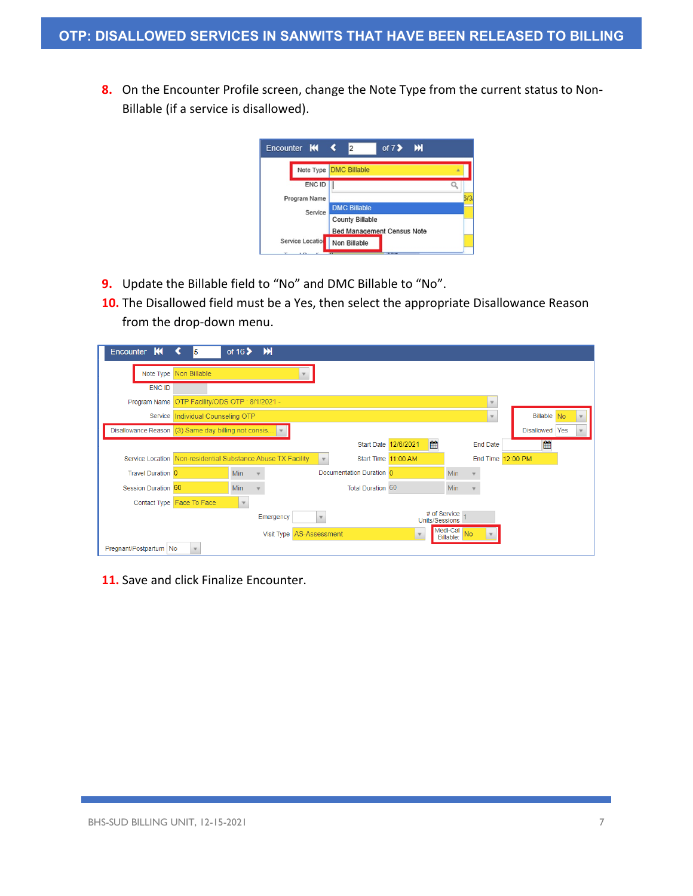**8.** On the Encounter Profile screen, change the Note Type from the current status to Non-Billable (if a service is disallowed).

| Encounter <b>KK &lt;</b> | of $7$ > $M$<br>12                |      |
|--------------------------|-----------------------------------|------|
|                          | Note Type <b>DMC Billable</b>     | ×    |
| ENC ID                   |                                   |      |
| Program Name             |                                   | 6/3. |
| Service                  | <b>DMC Billable</b>               |      |
|                          | <b>County Billable</b>            |      |
|                          | <b>Bed Management Census Note</b> |      |
| Service Location         | Non Billable                      |      |

- **9.** Update the Billable field to "No" and DMC Billable to "No".
- **10.** The Disallowed field must be a Yes, then select the appropriate Disallowance Reason from the drop-down menu.

| Encounter K                                         |                                                              | of $16$    | ж          |                                    |                                |                                         |                   |                    |
|-----------------------------------------------------|--------------------------------------------------------------|------------|------------|------------------------------------|--------------------------------|-----------------------------------------|-------------------|--------------------|
|                                                     | Note Type Non Billable                                       |            |            |                                    |                                |                                         |                   |                    |
| <b>ENC ID</b>                                       |                                                              |            |            |                                    |                                |                                         |                   |                    |
| Program Name                                        | OTP Facility/ODS OTP: 8/1/2021 -                             |            |            |                                    |                                |                                         |                   |                    |
|                                                     | Service Individual Counseling OTP                            |            |            |                                    |                                |                                         |                   | <b>Billable No</b> |
| Disallowance Reason (3) Same day billing not consis |                                                              |            |            |                                    |                                |                                         |                   | Disallowed Yes     |
|                                                     |                                                              |            |            |                                    | 曲<br>Start Date 12/6/2021      |                                         | <b>End Date</b>   | 雦                  |
|                                                     | Service Location Non-residential Substance Abuse TX Facility |            |            | Start Time 11:00 AM<br>$\mathbf v$ |                                |                                         | End Time 12:00 PM |                    |
| Travel Duration 0                                   |                                                              | Min        |            | Documentation Duration 0           |                                | Min                                     |                   |                    |
| Session Duration 60                                 |                                                              | <b>Min</b> |            | <b>Total Duration 60</b>           |                                | <b>Min</b>                              |                   |                    |
|                                                     | Contact Type Face To Face                                    |            |            |                                    |                                |                                         |                   |                    |
|                                                     |                                                              |            | Emergency  |                                    | # of Service<br>Units/Sessions |                                         |                   |                    |
|                                                     |                                                              |            | Visit Type | AS-Assessment                      | $\mathbf v$                    | Medi-Cal<br>N <sub>o</sub><br>Billable: |                   |                    |
| Pregnant/Postpartum   No                            |                                                              |            |            |                                    |                                |                                         |                   |                    |

**11.** Save and click Finalize Encounter.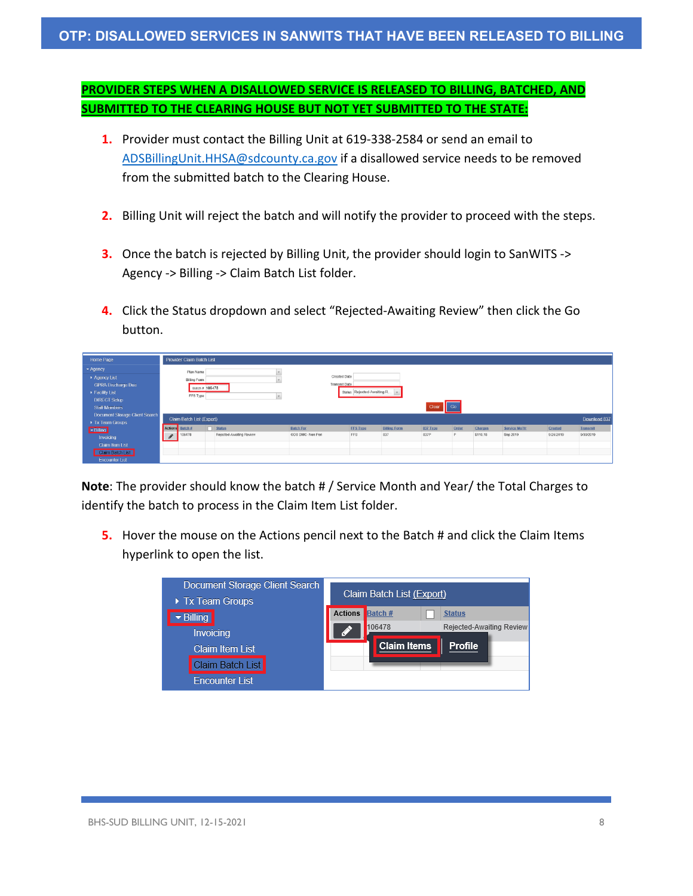## **OTP: DISALLOWED SERVICES IN SANWITS THAT HAVE BEEN RELEASED TO BILLING**

# **PROVIDER STEPS WHEN A DISALLOWED SERVICE IS RELEASED TO BILLING, BATCHED, AND SUBMITTED TO THE CLEARING HOUSE BUT NOT YET SUBMITTED TO THE STATE:**

- **1.** Provider must contact the Billing Unit at 619-338-2584 or send an email to [ADSBillingUnit.HHSA@sdcounty.ca.gov](mailto:ADSBillingUnit.HHSA@sdcounty.ca.gov) if a disallowed service needs to be removed from the submitted batch to the Clearing House.
- **2.** Billing Unit will reject the batch and will notify the provider to proceed with the steps.
- **3.** Once the batch is rejected by Billing Unit, the provider should login to SanWITS -> Agency -> Billing -> Claim Batch List folder.
- **4.** Click the Status dropdown and select "Rejected-Awaiting Review" then click the Go button.

| Home Page                                   |   | Provider Claim Batch List |                          |                   |                      |                            |                     |          |           |          |               |           |              |
|---------------------------------------------|---|---------------------------|--------------------------|-------------------|----------------------|----------------------------|---------------------|----------|-----------|----------|---------------|-----------|--------------|
| * Agency                                    |   | Plan Name                 |                          |                   |                      |                            |                     |          |           |          |               |           |              |
| Agency List                                 |   | <b>Billing Form</b>       |                          |                   | Created Date         |                            |                     |          |           |          |               |           |              |
| <b>GPRA Discharge Due</b>                   |   | Batch # 106478            |                          |                   | <b>Transmit Date</b> |                            |                     |          |           |          |               |           |              |
| Facility List                               |   | FFS Type                  |                          |                   |                      | Status Rejected-Awaiting R |                     |          |           |          |               |           |              |
| <b>DIRECT Setup</b><br><b>Staff Members</b> |   |                           |                          |                   |                      |                            |                     | Clear    | $\Box$ Go |          |               |           |              |
| <b>Document Storage Client Search</b>       |   |                           |                          |                   |                      |                            |                     |          |           |          |               |           |              |
| Tx Team Groups                              |   | Claim Batch List (Export) |                          |                   |                      |                            |                     |          |           |          |               |           | Download 837 |
| <b>E</b> Billing                            |   | Actions Batch #           | $\Box$ Status            | <b>Batch For</b>  |                      | <b>FFS Type</b>            | <b>Billing Form</b> | 837 Type | Order     | Charges  | Service Mo/Yr | Created   | Transmit     |
| Invoicing                                   | I | 106478                    | Relected-Awaiting Review | ODS DMC- Non Peri |                      | <b>FFS</b>                 | 837                 | 837P     | P.        | \$110.18 | Sep 2019      | 9/26/2019 | 9/30/2019    |
| <b>Claim Item List</b>                      |   |                           |                          |                   |                      |                            |                     |          |           |          |               |           |              |
| Claim Batch List                            |   |                           |                          |                   |                      |                            |                     |          |           |          |               |           |              |
| <b>Encounter List</b>                       |   |                           |                          |                   |                      |                            |                     |          |           |          |               |           |              |

**Note**: The provider should know the batch # / Service Month and Year/ the Total Charges to identify the batch to process in the Claim Item List folder.

**5.** Hover the mouse on the Actions pencil next to the Batch # and click the Claim Items hyperlink to open the list.

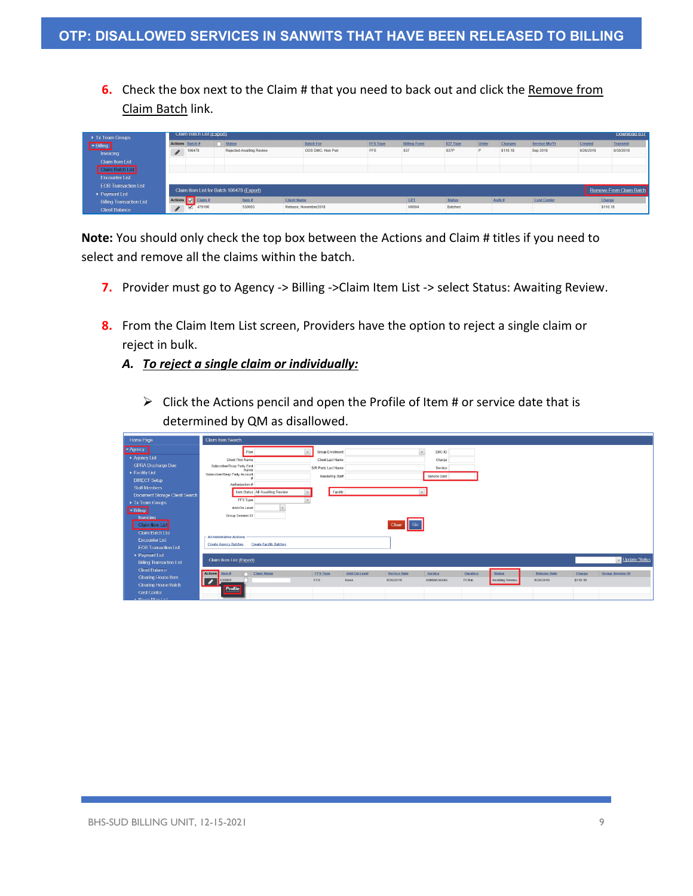**6.** Check the box next to the Claim # that you need to back out and click the Remove from Claim Batch link.

| Tx Team Groups                  |   | Claim Batch List (Export) |                                           |                    |                       |                 |                     |               |       |          |                    |           | Download 837            |
|---------------------------------|---|---------------------------|-------------------------------------------|--------------------|-----------------------|-----------------|---------------------|---------------|-------|----------|--------------------|-----------|-------------------------|
| $-$ Billing                     |   | <b>Actions</b> Batch #    | $\Box$ Status                             |                    | <b>Batch For</b>      | <b>FFS Type</b> | <b>Billing Form</b> | 837 Type      | Order | Charges  | Service Mo/Yr      | Created   | <b>Transmit</b>         |
| Invoicing                       | P | 106478                    | Rejected-Awaiting Review                  |                    | ODS DMC- Non Peri     | <b>FFS</b>      | 837                 | 837P          | P     | \$110.18 | Sep 2019           | 9/26/2019 | 9/30/2019               |
| <b>Claim Item List</b>          |   |                           |                                           |                    |                       |                 |                     |               |       |          |                    |           |                         |
| Claim Batch List                |   |                           |                                           |                    |                       |                 |                     |               |       |          |                    |           |                         |
| <b>Encounter List</b>           |   |                           |                                           |                    |                       |                 |                     |               |       |          |                    |           |                         |
| <b>EOB Transaction List</b>     |   |                           | Claim Item List for Batch 106478 (Export) |                    |                       |                 |                     |               |       |          |                    |           | Remove From Claim Batch |
| ▶ Payment List                  |   |                           |                                           |                    |                       |                 |                     |               |       |          |                    |           |                         |
| <b>Billing Transaction List</b> |   | Actions <b>V</b> Claim #  | Item $\overline{B}$                       | <b>Client Name</b> |                       |                 | CPT                 | <b>Status</b> |       | Auth #   | <b>Cost Center</b> | Charge    |                         |
| <b>Client Balance</b>           | A | 479196                    | 530003                                    |                    | Release, November2018 |                 | H0004               | Batched       |       |          |                    | \$110.18  |                         |

**Note:** You should only check the top box between the Actions and Claim # titles if you need to select and remove all the claims within the batch.

- **7.** Provider must go to Agency -> Billing -> Claim Item List -> select Status: Awaiting Review.
- **8.** From the Claim Item List screen, Providers have the option to reject a single claim or reject in bulk.
	- *A. To reject a single claim or individually:*
		- $\triangleright$  Click the Actions pencil and open the Profile of Item # or service date that is determined by QM as disallowed.

| Home Page                                                         | Claim Item Search                    |                                 |                     |              |                     |              |          |                 |                     |          |                         |
|-------------------------------------------------------------------|--------------------------------------|---------------------------------|---------------------|--------------|---------------------|--------------|----------|-----------------|---------------------|----------|-------------------------|
| - Agency                                                          | Plan                                 |                                 | Group Enrollment    |              | $\tau$              | ENC ID       |          |                 |                     |          |                         |
| Agency List                                                       | <b>Client First Name</b>             |                                 | Client Last Name    |              |                     | Charge       |          |                 |                     |          |                         |
| <b>GPRA Discharge Due</b>                                         | Subscriber/Resp Party First<br>Name  |                                 | S/R Party Last Name |              |                     | Service      |          |                 |                     |          |                         |
| Facility List                                                     | Subscriber/Resp Party Account        |                                 | Rendering Staff     |              |                     | Service Date |          |                 |                     |          |                         |
| <b>DIRECT Setup</b>                                               | Authorization #                      |                                 |                     |              |                     |              |          |                 |                     |          |                         |
| <b>Staff Members</b>                                              |                                      | Item Status All Awaiting Review | Facility            |              |                     |              |          |                 |                     |          |                         |
| Document Storage Client Search                                    | FFS Type                             |                                 |                     |              |                     |              |          |                 |                     |          |                         |
| Tx Team Groups                                                    | Add-On Level                         |                                 |                     |              |                     |              |          |                 |                     |          |                         |
| Billing                                                           |                                      |                                 |                     |              |                     |              |          |                 |                     |          |                         |
| Invoicing                                                         | Group Session ID                     |                                 |                     |              |                     |              |          |                 |                     |          |                         |
| Claim Item List                                                   |                                      |                                 |                     |              | Clear Go            |              |          |                 |                     |          |                         |
| <b>Claim Batch List</b>                                           | <b>Administrative Actions</b>        |                                 |                     |              |                     |              |          |                 |                     |          |                         |
| <b>Encounter List</b>                                             | <b>Create Agency Batches</b>         | <b>Create Facility Batches</b>  |                     |              |                     |              |          |                 |                     |          |                         |
| <b>EOB Transaction List</b>                                       |                                      |                                 |                     |              |                     |              |          |                 |                     |          |                         |
| Payment List                                                      | Claim Item List (Export)             |                                 |                     |              |                     |              |          |                 |                     |          | Update Status           |
| <b>Billing Transaction List</b>                                   |                                      |                                 |                     |              |                     |              |          |                 |                     |          |                         |
| <b>Client Balance</b>                                             | Actions Item #                       | Client Name                     | <b>FFS Type</b>     | Add-On Level | <b>Service Date</b> | Service      | Duration | <b>Status</b>   | <b>Release Date</b> | Charge   | <b>Group Session ID</b> |
| Clearing House Item                                               | 530002<br>$\blacktriangleright$<br>П |                                 | FFS                 | None         | 9/26/2019           | H0004/UA/HG  | 70 Min   | Awaiting Review | 9/26/2019           | \$110.18 |                         |
| Cleaning House Batch                                              | Profile                              |                                 |                     |              |                     |              |          |                 |                     |          |                         |
| <b>Cost Center</b><br>the company's company's company's company's |                                      |                                 |                     |              |                     |              |          |                 |                     |          |                         |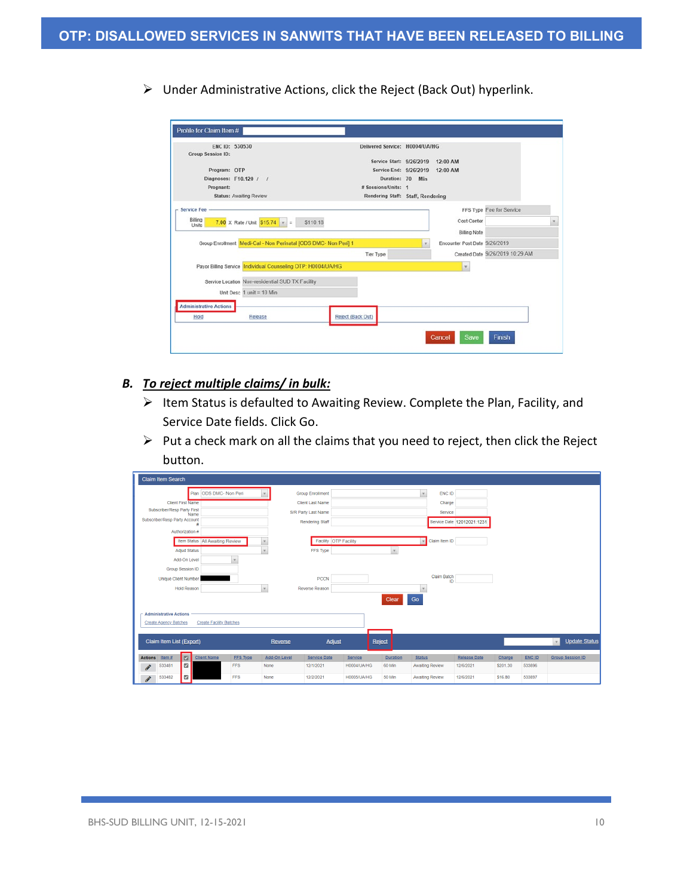Under Administrative Actions, click the Reject (Back Out) hyperlink.

|                               | ENC ID: 530530                                                  | Delivered Service: H0004/UA/HG                     |     |                               |                                 |  |
|-------------------------------|-----------------------------------------------------------------|----------------------------------------------------|-----|-------------------------------|---------------------------------|--|
| <b>Group Session ID:</b>      |                                                                 |                                                    |     |                               |                                 |  |
| Program: OTP                  |                                                                 | Service Start: 9/26/2019<br>Service End: 9/26/2019 |     | 12:00 AM<br>12:00 AM          |                                 |  |
|                               | Diagnoses: F10.120 / /                                          | Duration: 70                                       | Min |                               |                                 |  |
| Pregnant:                     |                                                                 | # Sessions/Units: 1                                |     |                               |                                 |  |
|                               | <b>Status: Awaiting Review</b>                                  | Rendering Staff: Staff, Rendering                  |     |                               |                                 |  |
|                               |                                                                 |                                                    |     |                               |                                 |  |
| <b>Service Fee</b>            |                                                                 |                                                    |     |                               | FFS Type Fee for Service        |  |
| Billing<br><b>Units</b>       | 7.00 X Rate / Unit $$15.74$ $\sqrt{ }$ =<br>\$110.18            |                                                    |     | Cost Center                   |                                 |  |
|                               |                                                                 |                                                    |     | <b>Billing Note</b>           |                                 |  |
|                               | Group Enrollment Medi-Cal - Non Perinatal [ODS DMC- Non Peri] 1 |                                                    | ٠   | Encounter Post Date 9/26/2019 |                                 |  |
|                               |                                                                 | <b>Tier Type</b>                                   |     |                               | Created Date 9/26/2019 10:29 AM |  |
|                               | Payor Billing Service Individual Counseling OTP: H0004/UA/HG    |                                                    |     | $\mathbf{v}$                  |                                 |  |
|                               | Service Location Non-residential SUD TX Facility                |                                                    |     |                               |                                 |  |
|                               | Unit Desc $1$ unit = 10 Min                                     |                                                    |     |                               |                                 |  |
|                               |                                                                 |                                                    |     |                               |                                 |  |
| <b>Administrative Actions</b> |                                                                 |                                                    |     |                               |                                 |  |

### *B. To reject multiple claims/ in bulk:*

- $\triangleright$  Item Status is defaulted to Awaiting Review. Complete the Plan, Facility, and Service Date fields. Click Go.
- $\triangleright$  Put a check mark on all the claims that you need to reject, then click the Reject button.

|                            | <b>Claim Item Search</b>                                                                 |                                        |                                                                   |                 |              |                                                                                                                                   |             |                 |                                                                             |                            |          |        |                                      |
|----------------------------|------------------------------------------------------------------------------------------|----------------------------------------|-------------------------------------------------------------------|-----------------|--------------|-----------------------------------------------------------------------------------------------------------------------------------|-------------|-----------------|-----------------------------------------------------------------------------|----------------------------|----------|--------|--------------------------------------|
|                            | <b>Client First Name</b><br>Subscriber/Resp Party First<br>Subscriber/Resp Party Account | Authorization #<br><b>Adjud Status</b> | Plan ODS DMC- Non Peri<br>Name<br>Item Status All Awaiting Review |                 | $\mathbf{r}$ | <b>Group Enrollment</b><br><b>Client Last Name</b><br>S/R Party Last Name<br>Rendering Staff<br>Facility OTP Facility<br>FFS Type |             | $\mathbf{v}$    | ENC ID<br>$\mathbf v$<br>Charge<br>Service<br>Claim Item ID<br>$\mathbf{v}$ | Service Date 12012021:1231 |          |        |                                      |
|                            | Group Session ID<br><b>Unique Client Number</b>                                          | Add-On Level<br><b>Hold Reason</b>     |                                                                   | $\mathbf{v}$    | v.           | <b>PCCN</b><br>Reverse Reason                                                                                                     |             | Clear           | <b>Claim Batch</b><br>ID<br>Go                                              |                            |          |        |                                      |
|                            | <b>Administrative Actions</b><br><b>Create Agency Batches</b>                            |                                        | <b>Create Facility Batches</b>                                    |                 |              |                                                                                                                                   |             |                 |                                                                             |                            |          |        |                                      |
|                            | Claim Item List (Export)                                                                 |                                        |                                                                   |                 | Reverse      | Adjust                                                                                                                            |             | Reject          |                                                                             |                            |          |        | <b>Update Status</b><br>$\mathbf{v}$ |
| <b>Actions</b>             | Item $#$                                                                                 | $\blacksquare$                         | <b>Client Name</b>                                                | <b>FFS Type</b> | Add-On Level | <b>Service Date</b>                                                                                                               | Service     | <b>Duration</b> | <b>Status</b>                                                               | <b>Release Date</b>        | Charge   | ENC ID | <b>Group Session ID</b>              |
| $\boldsymbol{\mathscr{F}}$ | 533481                                                                                   | $\Box$                                 |                                                                   | <b>FFS</b>      | None         | 12/1/2021                                                                                                                         | H0004/UA/HG | 60 Min          | <b>Awaiting Review</b>                                                      | 12/6/2021                  | \$201.30 | 533896 |                                      |
| $\boldsymbol{\mathscr{E}}$ | 533482                                                                                   | $\overline{\mathbb{Z}}$                |                                                                   | <b>FFS</b>      | None         | 12/2/2021                                                                                                                         | H0005/UA/HG | 50 Min          | <b>Awaiting Review</b>                                                      | 12/6/2021                  | \$16.80  | 533897 |                                      |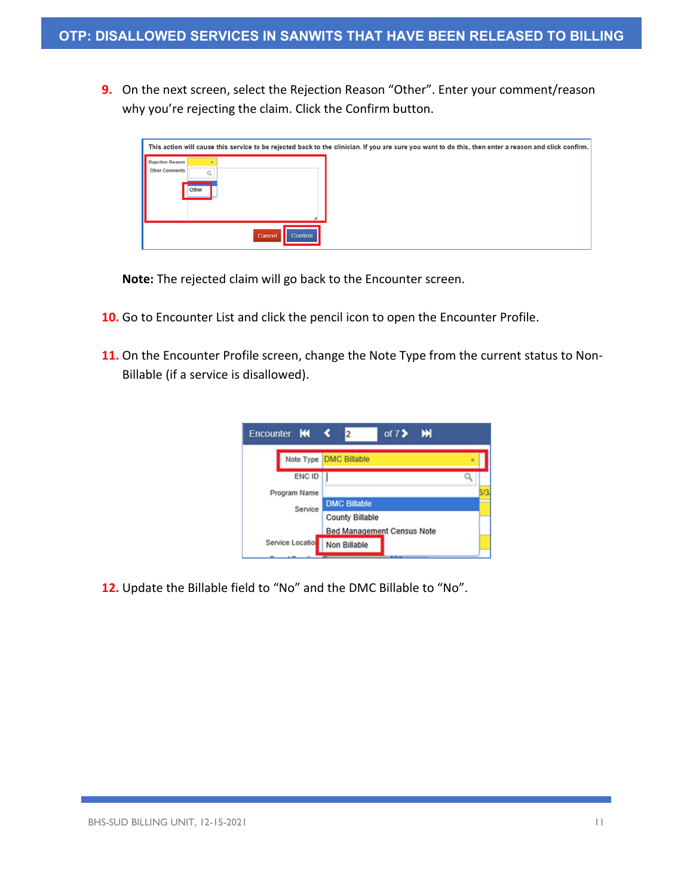**9.** On the next screen, select the Rejection Reason "Other". Enter your comment/reason why you're rejecting the claim. Click the Confirm button.

|                                    |       |                   | This action will cause this service to be rejected back to the clinician. If you are sure you want to do this, then enter a reason and click confirm. |
|------------------------------------|-------|-------------------|-------------------------------------------------------------------------------------------------------------------------------------------------------|
| Rejection Reason<br>Other Comments | Other |                   |                                                                                                                                                       |
|                                    |       | Confirm<br>Cancel |                                                                                                                                                       |

**Note:** The rejected claim will go back to the Encounter screen.

- **10.** Go to Encounter List and click the pencil icon to open the Encounter Profile.
- **11.** On the Encounter Profile screen, change the Note Type from the current status to Non-Billable (if a service is disallowed).



**12.** Update the Billable field to "No" and the DMC Billable to "No".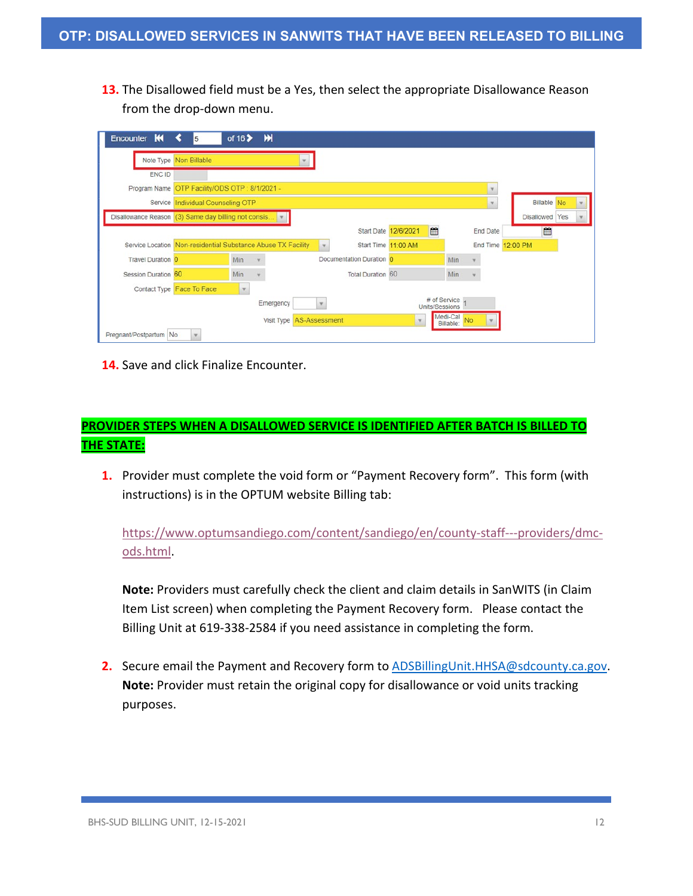**13.** The Disallowed field must be a Yes, then select the appropriate Disallowance Reason from the drop-down menu.

|                                                     | Note Type Non Billable            |              |                                                              |      |                          |                           |                                |          |                    |  |
|-----------------------------------------------------|-----------------------------------|--------------|--------------------------------------------------------------|------|--------------------------|---------------------------|--------------------------------|----------|--------------------|--|
| ENC ID                                              |                                   |              |                                                              |      |                          |                           |                                |          |                    |  |
| Program Name                                        | OTP Facility/ODS OTP: 8/1/2021 -  |              |                                                              |      |                          |                           |                                |          |                    |  |
|                                                     | Service Individual Counseling OTP |              |                                                              |      |                          |                           |                                | ۳        | <b>Billable</b> No |  |
| Disallowance Reason (3) Same day billing not consis |                                   |              |                                                              |      |                          |                           |                                |          | Disallowed Yes     |  |
|                                                     |                                   |              |                                                              |      |                          | m<br>Start Date 12/6/2021 |                                | End Date | ≝                  |  |
|                                                     |                                   |              | Service Location Non-residential Substance Abuse TX Facility | I.V. |                          | Start Time 11:00 AM       |                                |          | End Time 12:00 PM  |  |
| <b>Travel Duration 0</b>                            |                                   | Min          |                                                              |      | Documentation Duration 0 |                           | <b>Min</b>                     |          |                    |  |
| Session Duration 60                                 |                                   | Min          |                                                              |      | <b>Total Duration 60</b> |                           | Min                            |          |                    |  |
|                                                     | Contact Type Face To Face         | $\mathbf{v}$ |                                                              |      |                          |                           |                                |          |                    |  |
|                                                     |                                   |              | Emergency                                                    |      |                          |                           | # of Service<br>Units/Sessions |          |                    |  |
|                                                     |                                   |              | Visit Type AS-Assessment                                     |      |                          | $\mathbf v$               | Medi-Cal No                    |          |                    |  |

**14.** Save and click Finalize Encounter.

# **PROVIDER STEPS WHEN A DISALLOWED SERVICE IS IDENTIFIED AFTER BATCH IS BILLED TO THE STATE:**

**1.** Provider must complete the void form or "Payment Recovery form". This form (with instructions) is in the OPTUM website Billing tab:

[https://www.optumsandiego.com/content/sandiego/en/county-staff---providers/dmc](https://www.optumsandiego.com/content/sandiego/en/county-staff---providers/dmc-ods.html)[ods.html.](https://www.optumsandiego.com/content/sandiego/en/county-staff---providers/dmc-ods.html)

**Note:** Providers must carefully check the client and claim details in SanWITS (in Claim Item List screen) when completing the Payment Recovery form. Please contact the Billing Unit at 619-338-2584 if you need assistance in completing the form.

**2.** Secure email the Payment and Recovery form to [ADSBillingUnit.HHSA@sdcounty.ca.gov.](mailto:ADSBillingUnit.HHSA@sdcounty.ca.gov) **Note:** Provider must retain the original copy for disallowance or void units tracking purposes.